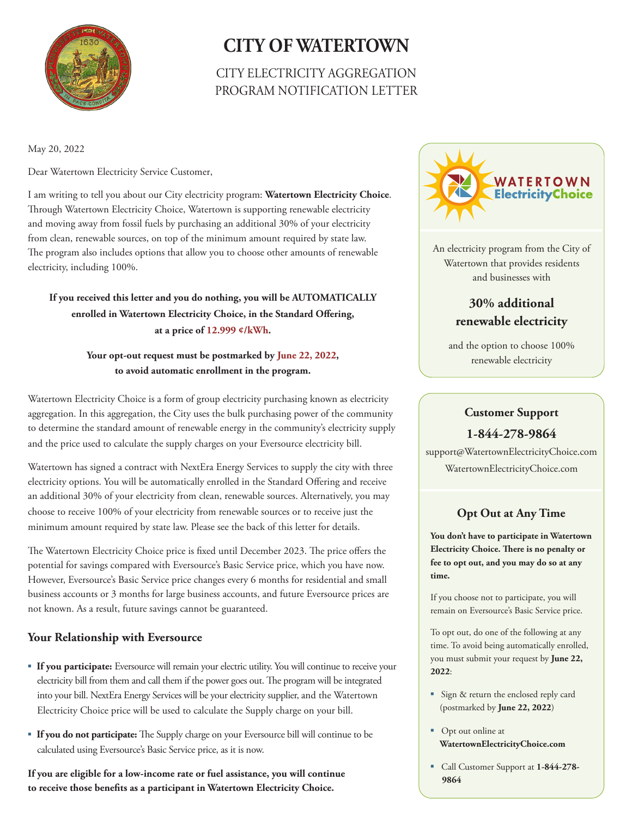

# **CITY OF WATERTOWN**

# CITY ELECTRICITY AGGREGATION PROGRAM NOTIFICATION LETTER

May 20, 2022

Dear Watertown Electricity Service Customer,

I am writing to tell you about our City electricity program: **Watertown Electricity Choice**. Through Watertown Electricity Choice, Watertown is supporting renewable electricity and moving away from fossil fuels by purchasing an additional 30% of your electricity from clean, renewable sources, on top of the minimum amount required by state law. The program also includes options that allow you to choose other amounts of renewable electricity, including 100%.

### **If you received this letter and you do nothing, you will be AUTOMATICALLY enrolled in Watertown Electricity Choice, in the Standard Offering, at a price of 12.999 ¢/kWh.**

#### **Your opt-out request must be postmarked by June 22, 2022, to avoid automatic enrollment in the program.**

Watertown Electricity Choice is a form of group electricity purchasing known as electricity aggregation. In this aggregation, the City uses the bulk purchasing power of the community to determine the standard amount of renewable energy in the community's electricity supply and the price used to calculate the supply charges on your Eversource electricity bill.

Watertown has signed a contract with NextEra Energy Services to supply the city with three electricity options. You will be automatically enrolled in the Standard Offering and receive an additional 30% of your electricity from clean, renewable sources. Alternatively, you may choose to receive 100% of your electricity from renewable sources or to receive just the minimum amount required by state law. Please see the back of this letter for details.

The Watertown Electricity Choice price is fixed until December 2023. The price offers the potential for savings compared with Eversource's Basic Service price, which you have now. However, Eversource's Basic Service price changes every 6 months for residential and small business accounts or 3 months for large business accounts, and future Eversource prices are not known. As a result, future savings cannot be guaranteed.

#### **Your Relationship with Eversource**

- **If you participate:** Eversource will remain your electric utility. You will continue to receive your electricity bill from them and call them if the power goes out. The program will be integrated into your bill. NextEra Energy Services will be your electricity supplier, and the Watertown Electricity Choice price will be used to calculate the Supply charge on your bill.
- **If you do not participate:** The Supply charge on your Eversource bill will continue to be calculated using Eversource's Basic Service price, as it is now.

**If you are eligible for a low-income rate or fuel assistance, you will continue to receive those benefits as a participant in Watertown Electricity Choice.** 



An electricity program from the City of Watertown that provides residents and businesses with

## **30% additional renewable electricity**

and the option to choose 100% renewable electricity

# **Customer Support 1-844-278-9864**

support@WatertownElectricityChoice.com WatertownElectricityChoice.com

## **Opt Out at Any Time**

**You don't have to participate in Watertown Electricity Choice. There is no penalty or fee to opt out, and you may do so at any time.**

If you choose not to participate, you will remain on Eversource's Basic Service price.

To opt out, do one of the following at any time. To avoid being automatically enrolled, you must submit your request by **June 22, 2022**:

- Sign & return the enclosed reply card (postmarked by **June 22, 2022**)
- Opt out online at **WatertownElectricityChoice.com**
- Call Customer Support at **1-844-278- 9864**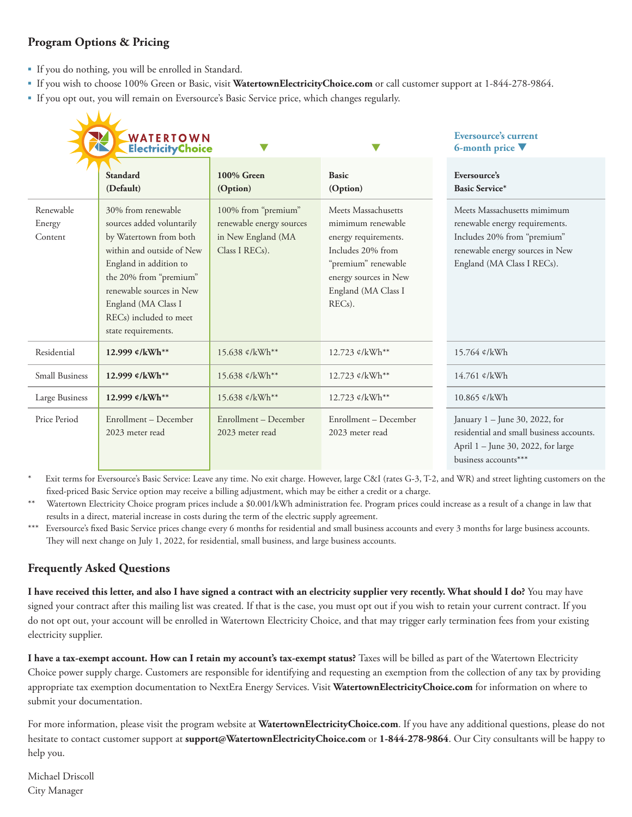### **Program Options & Pricing**

- If you do nothing, you will be enrolled in Standard.
- If you wish to choose 100% Green or Basic, visit **WatertownElectricityChoice.com** or call customer support at 1-844-278-9864.
- If you opt out, you will remain on Eversource's Basic Service price, which changes regularly.

|                                | WATERTOWN<br>ElectricityChoice                                                                                                                                                                                                                                              |                                                                                         |                                                                                                                                                                                     | <b>Eversource's current</b><br>6-month price V                                                                                                                |
|--------------------------------|-----------------------------------------------------------------------------------------------------------------------------------------------------------------------------------------------------------------------------------------------------------------------------|-----------------------------------------------------------------------------------------|-------------------------------------------------------------------------------------------------------------------------------------------------------------------------------------|---------------------------------------------------------------------------------------------------------------------------------------------------------------|
|                                | <b>Standard</b><br>(Default)                                                                                                                                                                                                                                                | $100\%$ Green<br>(Option)                                                               | <b>Basic</b><br>(Option)                                                                                                                                                            | Eversource's<br><b>Basic Service*</b>                                                                                                                         |
| Renewable<br>Energy<br>Content | 30% from renewable<br>sources added voluntarily<br>by Watertown from both<br>within and outside of New<br>England in addition to<br>the 20% from "premium"<br>renewable sources in New<br>England (MA Class I<br>REC <sub>s</sub> ) included to meet<br>state requirements. | 100% from "premium"<br>renewable energy sources<br>in New England (MA<br>Class I RECs). | Meets Massachusetts<br>mimimum renewable<br>energy requirements.<br>Includes 20% from<br>"premium" renewable<br>energy sources in New<br>England (MA Class I<br>REC <sub>s</sub> ). | Meets Massachusetts mimimum<br>renewable energy requirements.<br>Includes 20% from "premium"<br>renewable energy sources in New<br>England (MA Class I RECs). |
| Residential                    | 12.999 $\ell$ /kWh**                                                                                                                                                                                                                                                        | 15.638 $\ell$ /kWh**                                                                    | 12.723 $\ell$ /kWh**                                                                                                                                                                | 15.764 ¢/kWh                                                                                                                                                  |
| <b>Small Business</b>          | 12.999 ¢/kWh**                                                                                                                                                                                                                                                              | 15.638 ¢/kWh**                                                                          | 12.723 ¢/kWh**                                                                                                                                                                      | 14.761 ¢/kWh                                                                                                                                                  |
| Large Business                 | 12.999 ¢/kWh**                                                                                                                                                                                                                                                              | 15.638 ¢/kWh**                                                                          | 12.723 ¢/kWh**                                                                                                                                                                      | 10.865 ¢/kWh                                                                                                                                                  |
| Price Period                   | Enrollment - December<br>2023 meter read                                                                                                                                                                                                                                    | Enrollment - December<br>2023 meter read                                                | Enrollment - December<br>2023 meter read                                                                                                                                            | January 1 - June 30, 2022, for<br>residential and small business accounts.<br>April 1 – June 30, 2022, for large<br>business accounts***                      |

Exit terms for Eversource's Basic Service: Leave any time. No exit charge. However, large C&I (rates G-3, T-2, and WR) and street lighting customers on the fixed-priced Basic Service option may receive a billing adjustment, which may be either a credit or a charge.

\*\* Watertown Electricity Choice program prices include a \$0.001/kWh administration fee. Program prices could increase as a result of a change in law that results in a direct, material increase in costs during the term of the electric supply agreement.

\*\*\* Eversource's fixed Basic Service prices change every 6 months for residential and small business accounts and every 3 months for large business accounts. They will next change on July 1, 2022, for residential, small business, and large business accounts.

## **Frequently Asked Questions**

I have received this letter, and also I have signed a contract with an electricity supplier very recently. What should I do? You may have signed your contract after this mailing list was created. If that is the case, you must opt out if you wish to retain your current contract. If you do not opt out, your account will be enrolled in Watertown Electricity Choice, and that may trigger early termination fees from your existing electricity supplier.

I have a tax-exempt account. How can I retain my account's tax-exempt status? Taxes will be billed as part of the Watertown Electricity Choice power supply charge. Customers are responsible for identifying and requesting an exemption from the collection of any tax by providing appropriate tax exemption documentation to NextEra Energy Services. Visit **WatertownElectricityChoice.com** for information on where to submit your documentation.

For more information, please visit the program website at **WatertownElectricityChoice.com**. If you have any additional questions, please do not hesitate to contact customer support at **support@WatertownElectricityChoice.com** or **1-844-278-9864**. Our City consultants will be happy to help you.

Michael Driscoll City Manager